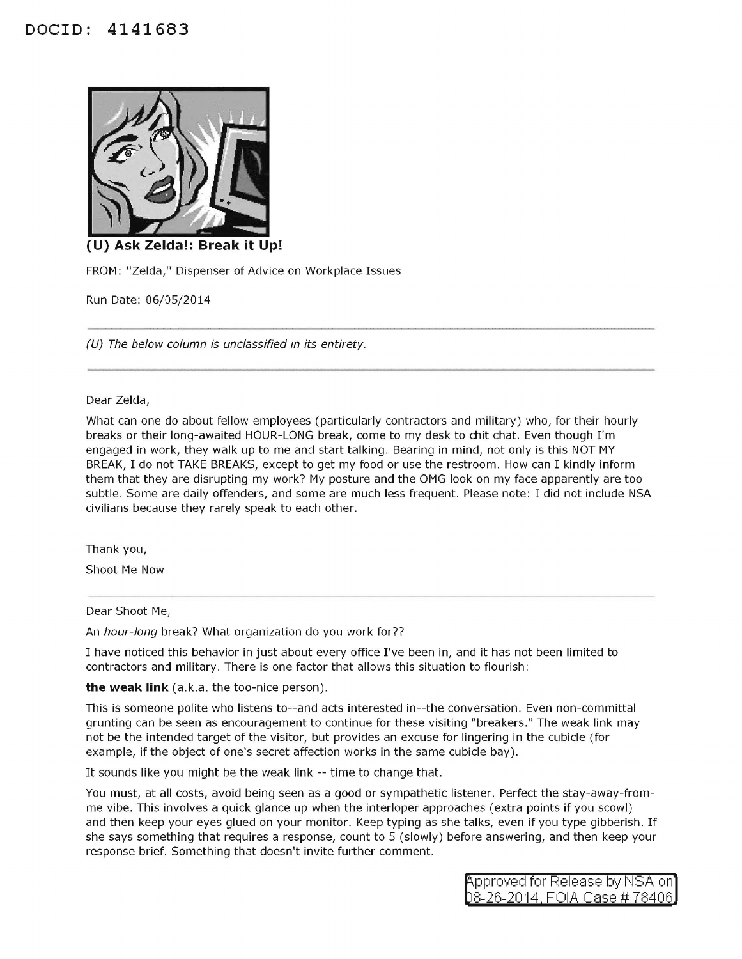## **DOCID: 4141683**



**(U) Ask Zelda!: Break it Up!** 

FROM: "Zelda," Dispenser of Advice on Workplace Issues

Run Date: 06/05/2014

(U) The below column is unclassified in its entirety.

## Dear Zelda,

What can one do about fellow employees (particularly contractors and military) who, for their hourly breaks or their long-awaited HOUR-LONG break, come to my desk to chit chat. Even though I'm engaged in work, they walk up to me and start talking. Bearing in mind, not only is this NOT MY BREAK, I do not TAKE BREAKS, except to get my food or use the restroom. How can I kindly inform them that they are disrupting my work? My posture and the OMG look on my face apparently are too subtle. Some are daily offenders, and some are much less frequent. Please note: I did not include NSA civilians because they rarely speak to each other.

Thank you,

Shoot Me Now

## Dear Shoot Me,

An hour-long break? What organization do you work for??

I have noticed this behavior in just about every office I've been in, and it has not been limited to contractors and military. There is one factor that allows this situation to flourish:

**the weak link** (a.k.a. the too-nice person).

This is someone polite who listens to--and acts interested in--the conversation. Even non-committal grunting can be seen as encouragement to continue for these visiting "breakers." The weak link may not be the intended target of the visitor, but provides an excuse for lingering in the cubicle (for example, if the object of one's secret affection works in the same cubicle bay).

It sounds like you might be the weak link -- time to change that.

You must, at all costs, avoid being seen as a good or sympathetic listener. Perfect the stay-away-fromme vibe. This involves a quick glance up when the interloper approaches (extra points if you scowl) and then keep your eyes glued on your monitor. Keep typing as she talks, even if you type gibberish. If she says something that requires a response, count to 5 (slowly) before answering, and then keep your response brief. Something that doesn't invite further comment.